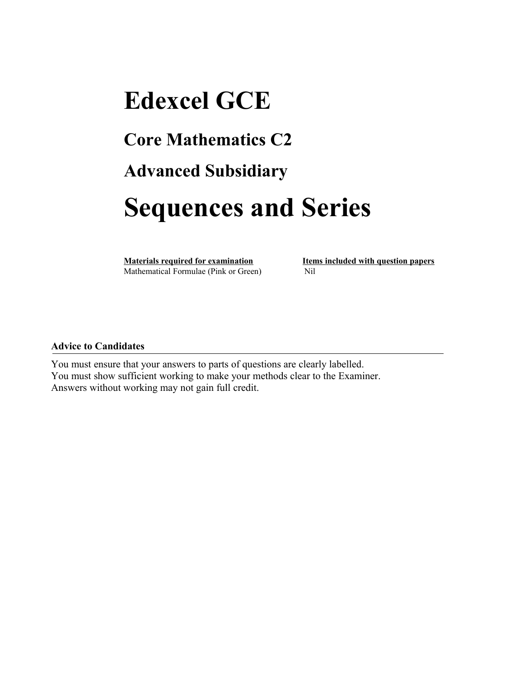## **Edexcel GCE Core Mathematics C2 Advanced Subsidiary Sequences and Series**

**Materials required for examination Items included with question papers** Mathematical Formulae (Pink or Green)Nil

## **Advice to Candidates**

You must ensure that your answers to parts of questions are clearly labelled. You must show sufficient working to make your methods clear to the Examiner. Answers without working may not gain full credit.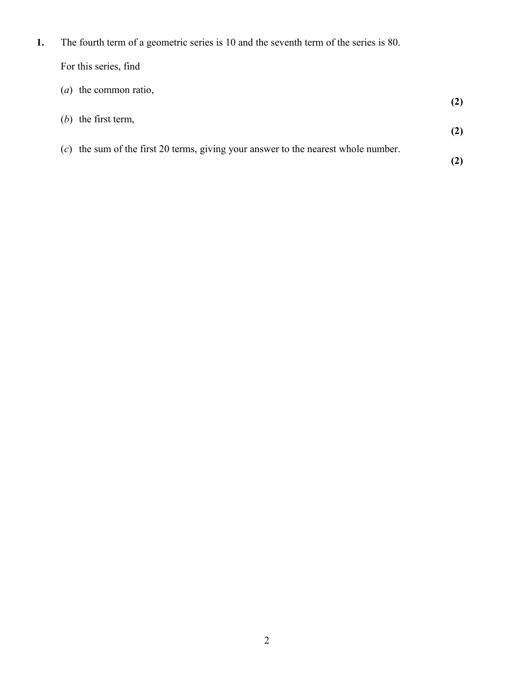**1.** The fourth term of a geometric series is 10 and the seventh term of the series is 80.

|  | For this series, find |  |
|--|-----------------------|--|
|  |                       |  |

| $(a)$ the common ratio,                                                              |  |
|--------------------------------------------------------------------------------------|--|
| $(b)$ the first term,                                                                |  |
| $(c)$ the sum of the first 20 terms, giving your answer to the nearest whole number. |  |
|                                                                                      |  |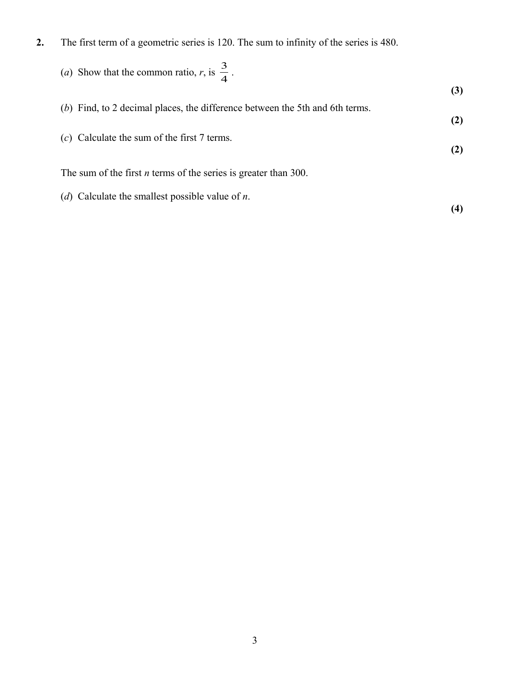**2.** The first term of a geometric series is 120. The sum to infinity of the series is 480.

\n- (a) Show that the common ratio, *r*, is 
$$
\frac{3}{4}
$$
.
\n- (b) Find, to 2 decimal places, the difference between the 5th and 6th terms.
\n- (c) Calculate the sum of the first 7 terms.
\n- (d) Calculate the smallest possible value of *n*.
\n- (e) Calculate the smallest possible value of *n*.
\n- (f) Consider the result of the series.
\n

3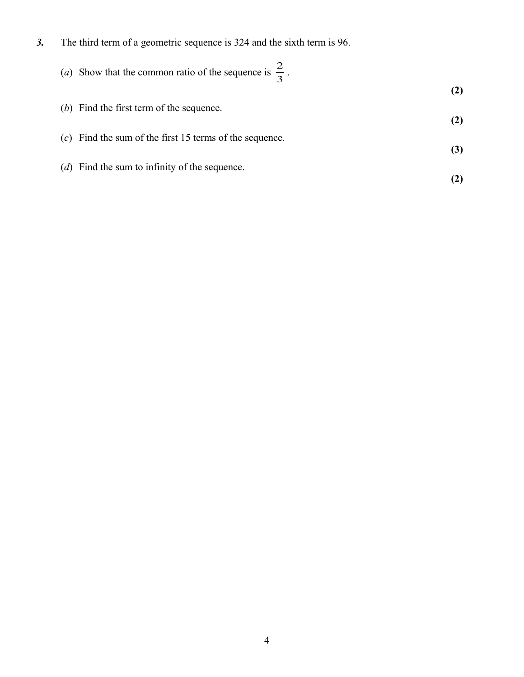*3.* The third term of a geometric sequence is 324 and the sixth term is 96.

(*b*) Find the first term of the sequence.

| (a) Show that the common ratio of the sequence is $\frac{2}{3}$ . |  |
|-------------------------------------------------------------------|--|
|                                                                   |  |

| $(c)$ Find the sum of the first 15 terms of the sequence. |  |
|-----------------------------------------------------------|--|

(*d*) Find the sum to infinity of the sequence.

**(3)**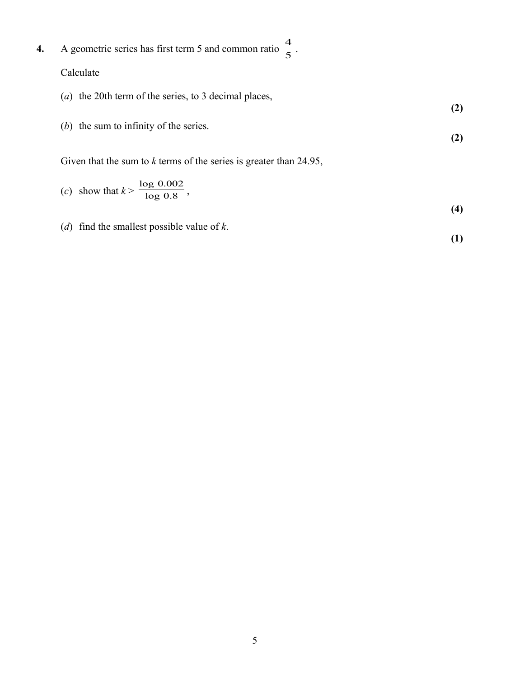- **4.** A geometric series has first term 5 and common ratio  $\frac{1}{5}$  $\frac{4}{5}$ . Calculate
	- (*a*) the 20th term of the series, to 3 decimal places, **(2)**
	- (*b*) the sum to infinity of the series. **(2)**

Given that the sum to *k* terms of the series is greater than 24.95,

(c) show that 
$$
k > \frac{\log 0.002}{\log 0.8}
$$
, (4)

(*d*) find the smallest possible value of *k*.

**(1)**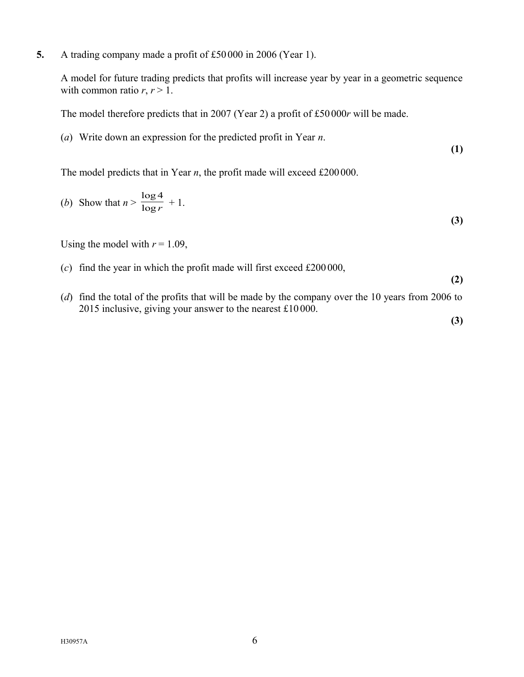**5.** A trading company made a profit of £50 000 in 2006 (Year 1).

A model for future trading predicts that profits will increase year by year in a geometric sequence with common ratio  $r, r > 1$ .

The model therefore predicts that in 2007 (Year 2) a profit of £50 000*r* will be made.

(*a*) Write down an expression for the predicted profit in Year *n*.

**(1)**

The model predicts that in Year *n*, the profit made will exceed £200000.

(b) Show that 
$$
n > \frac{\log 4}{\log r} + 1.
$$

Using the model with  $r = 1.09$ ,

- (*c*) find the year in which the profit made will first exceed £200 000,
- (*d*) find the total of the profits that will be made by the company over the 10 years from 2006 to 2015 inclusive, giving your answer to the nearest £10 000.

**(3)**

**(2)**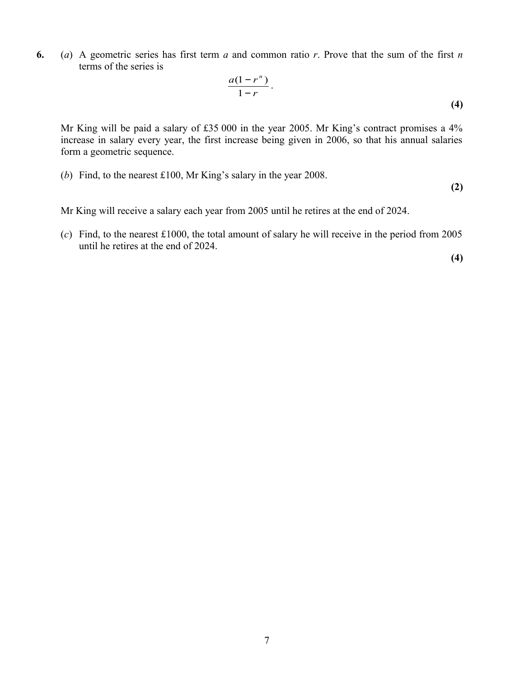**6.** (*a*) A geometric series has first term *a* and common ratio *r*. Prove that the sum of the first *n* terms of the series is

$$
\frac{a(1-r^n)}{1-r}.
$$
 (4)

Mr King will be paid a salary of £35 000 in the year 2005. Mr King's contract promises a 4% increase in salary every year, the first increase being given in 2006, so that his annual salaries form a geometric sequence.

(*b*) Find, to the nearest £100, Mr King's salary in the year 2008.

**(2)**

Mr King will receive a salary each year from 2005 until he retires at the end of 2024.

(*c*) Find, to the nearest £1000, the total amount of salary he will receive in the period from 2005 until he retires at the end of 2024.

 **(4)**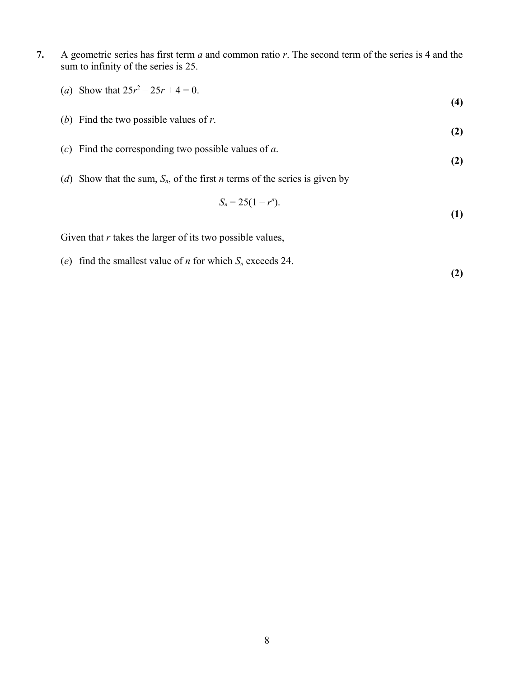- **7.** A geometric series has first term *a* and common ratio *r*. The second term of the series is 4 and the sum to infinity of the series is 25.
	- (*a*) Show that  $25r^2 25r + 4 = 0$ .
	- (*b*) Find the two possible values of *r*.
	- (*c*) Find the corresponding two possible values of *a*. **(2)**
	- (*d*) Show that the sum, *Sn*, of the first *n* terms of the series is given by

$$
S_n = 25(1 - r^n). \tag{1}
$$

Given that *r* takes the larger of its two possible values,

(*e*) find the smallest value of *n* for which *S<sup>n</sup>* exceeds 24.

 **(2)**

**(4)**

**(2)**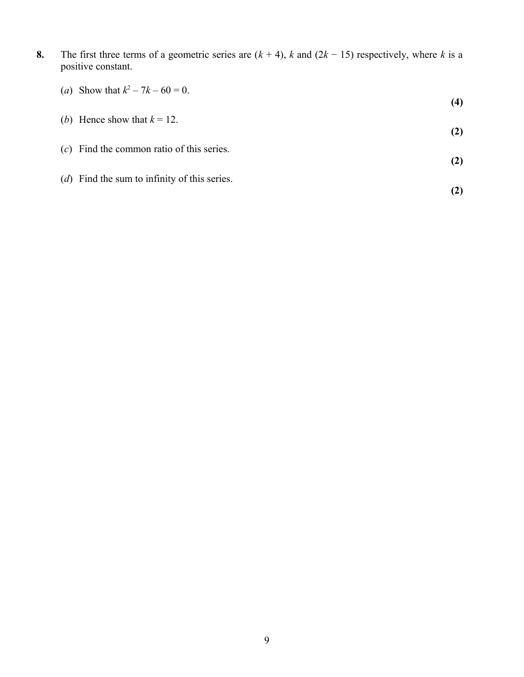**8.** The first three terms of a geometric series are (*k* + 4), *k* and (2*k* − 15) respectively, where *k* is a positive constant.

| (a) Show that $k^2 - 7k - 60 = 0$ .              | (4) |
|--------------------------------------------------|-----|
| (b) Hence show that $k = 12$ .                   | (2) |
| $(c)$ Find the common ratio of this series.      | (2) |
| ( $d$ ) Find the sum to infinity of this series. |     |
|                                                  |     |

9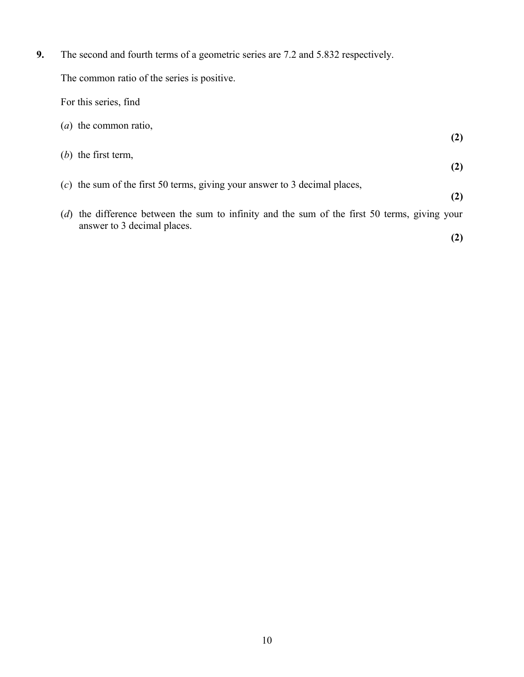**9.** The second and fourth terms of a geometric series are 7.2 and 5.832 respectively. The common ratio of the series is positive. For this series, find (*a*) the common ratio, **(2)** (*b*) the first term, **(2)** (*c*) the sum of the first 50 terms, giving your answer to 3 decimal places, **(2)** (*d*) the difference between the sum to infinity and the sum of the first 50 terms, giving your answer to 3 decimal places. **(2)**